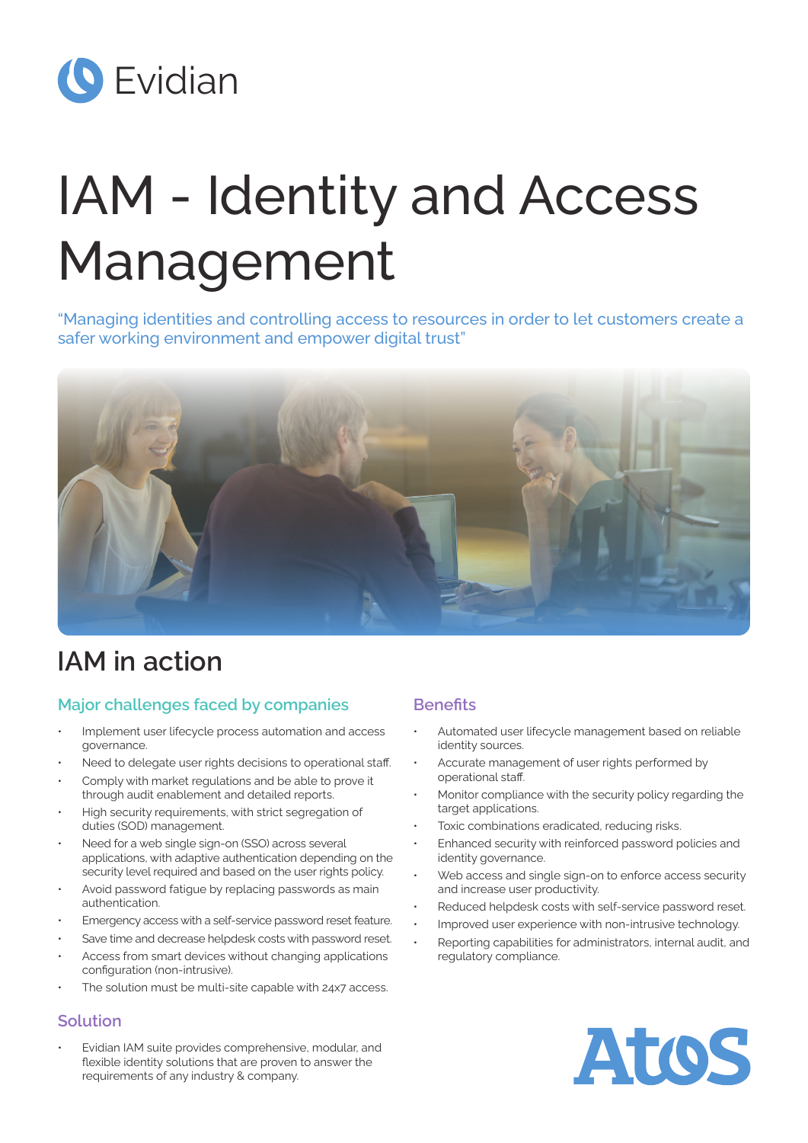

# IAM - Identity and Access Management

"Managing identities and controlling access to resources in order to let customers create a safer working environment and empower digital trust"



# **IAM in action**

# **Major challenges faced by companies**

- Implement user lifecycle process automation and access governance.
- Need to delegate user rights decisions to operational staff.
- Comply with market regulations and be able to prove it through audit enablement and detailed reports.
- High security requirements, with strict segregation of duties (SOD) management.
- Need for a web single sign-on (SSO) across several applications, with adaptive authentication depending on the security level required and based on the user rights policy.
- Avoid password fatigue by replacing passwords as main authentication.
- Emergency access with a self-service password reset feature.
- Save time and decrease helpdesk costs with password reset.
- Access from smart devices without changing applications configuration (non-intrusive).
- The solution must be multi-site capable with 24x7 access.

# **Solution**

• Evidian IAM suite provides comprehensive, modular, and flexible identity solutions that are proven to answer the requirements of any industry & company.

# **Benefits**

- Automated user lifecycle management based on reliable identity sources.
- Accurate management of user rights performed by operational staff.
- Monitor compliance with the security policy regarding the target applications.
- Toxic combinations eradicated, reducing risks.
- Enhanced security with reinforced password policies and identity governance.
- Web access and single sign-on to enforce access security and increase user productivity.
- Reduced helpdesk costs with self-service password reset.
- Improved user experience with non-intrusive technology.
- Reporting capabilities for administrators, internal audit, and regulatory compliance.